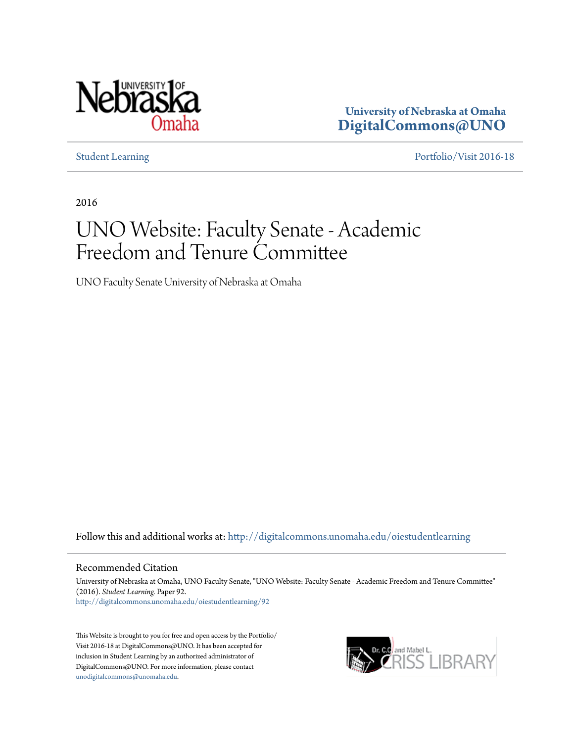

**University of Nebraska at Omaha [DigitalCommons@UNO](http://digitalcommons.unomaha.edu?utm_source=digitalcommons.unomaha.edu%2Foiestudentlearning%2F92&utm_medium=PDF&utm_campaign=PDFCoverPages)**

[Student Learning](http://digitalcommons.unomaha.edu/oiestudentlearning?utm_source=digitalcommons.unomaha.edu%2Foiestudentlearning%2F92&utm_medium=PDF&utm_campaign=PDFCoverPages) [Portfolio/Visit 2016-18](http://digitalcommons.unomaha.edu/oieportfolio?utm_source=digitalcommons.unomaha.edu%2Foiestudentlearning%2F92&utm_medium=PDF&utm_campaign=PDFCoverPages)

2016

## UNO Website: Faculty Senate - Academic Freedom and Tenure Committee

UNO Faculty Senate University of Nebraska at Omaha

Follow this and additional works at: [http://digitalcommons.unomaha.edu/oiestudentlearning](http://digitalcommons.unomaha.edu/oiestudentlearning?utm_source=digitalcommons.unomaha.edu%2Foiestudentlearning%2F92&utm_medium=PDF&utm_campaign=PDFCoverPages)

## Recommended Citation

University of Nebraska at Omaha, UNO Faculty Senate, "UNO Website: Faculty Senate - Academic Freedom and Tenure Committee" (2016). *Student Learning.* Paper 92. [http://digitalcommons.unomaha.edu/oiestudentlearning/92](http://digitalcommons.unomaha.edu/oiestudentlearning/92?utm_source=digitalcommons.unomaha.edu%2Foiestudentlearning%2F92&utm_medium=PDF&utm_campaign=PDFCoverPages)

This Website is brought to you for free and open access by the Portfolio/ Visit 2016-18 at DigitalCommons@UNO. It has been accepted for inclusion in Student Learning by an authorized administrator of DigitalCommons@UNO. For more information, please contact [unodigitalcommons@unomaha.edu](mailto:unodigitalcommons@unomaha.edu).